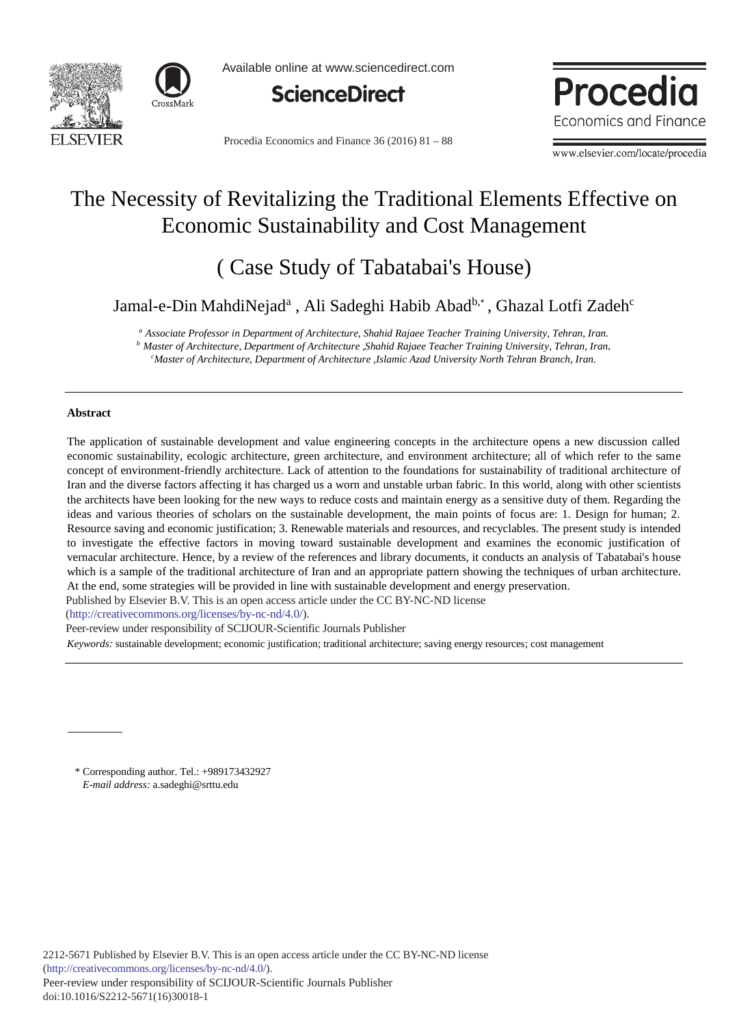



Available online at www.sciencedirect.com



Procedia Economics and Finance 36 (2016) 81 - 88



www.elsevier.com/locate/procedia

# The Necessity of Revitalizing the Traditional Elements Effective on Economic Sustainability and Cost Management

# ( Case Study of Tabatabai's House)

Jamal-e-Din MahdiNejad<sup>a</sup> , Ali Sadeghi Habib Abad<sup>b,\*</sup> , Ghazal Lotfi Zadeh<sup>c</sup>

*<sup>a</sup> Associate Professor in Department of Architecture, Shahid Rajaee Teacher Training University, Tehran, Iran. <sup>b</sup> Master of Architecture, Department of Architecture ,Shahid Rajaee Teacher Training University, Tehran, Iran. c Master of Architecture, Department of Architecture ,Islamic Azad University North Tehran Branch, Iran.*

### **Abstract**

The application of sustainable development and value engineering concepts in the architecture opens a new discussion called economic sustainability, ecologic architecture, green architecture, and environment architecture; all of which refer to the same concept of environment-friendly architecture. Lack of attention to the foundations for sustainability of traditional architecture of Iran and the diverse factors affecting it has charged us a worn and unstable urban fabric. In this world, along with other scientists the architects have been looking for the new ways to reduce costs and maintain energy as a sensitive duty of them. Regarding the ideas and various theories of scholars on the sustainable development, the main points of focus are: 1. Design for human; 2. Resource saving and economic justification; 3. Renewable materials and resources, and recyclables. The present study is intended to investigate the effective factors in moving toward sustainable development and examines the economic justification of vernacular architecture. Hence, by a review of the references and library documents, it conducts an analysis of Tabatabai's house which is a sample of the traditional architecture of Iran and an appropriate pattern showing the techniques of urban architecture. At the end, some strategies will be provided in line with sustainable development and energy preservation.

Published by Elsevier B.V. This is an open access article under the CC BY-NC-ND license

(http://creativecommons.org/licenses/by-nc-nd/4.0/).

Peer-review under responsibility of SCIJOUR-Scientific Journals Publisher

*Keywords:* sustainable development; economic justification; traditional architecture; saving energy resources; cost management

\* Corresponding author. Tel.: +989173432927 *E-mail address:* a.sadeghi@srttu.edu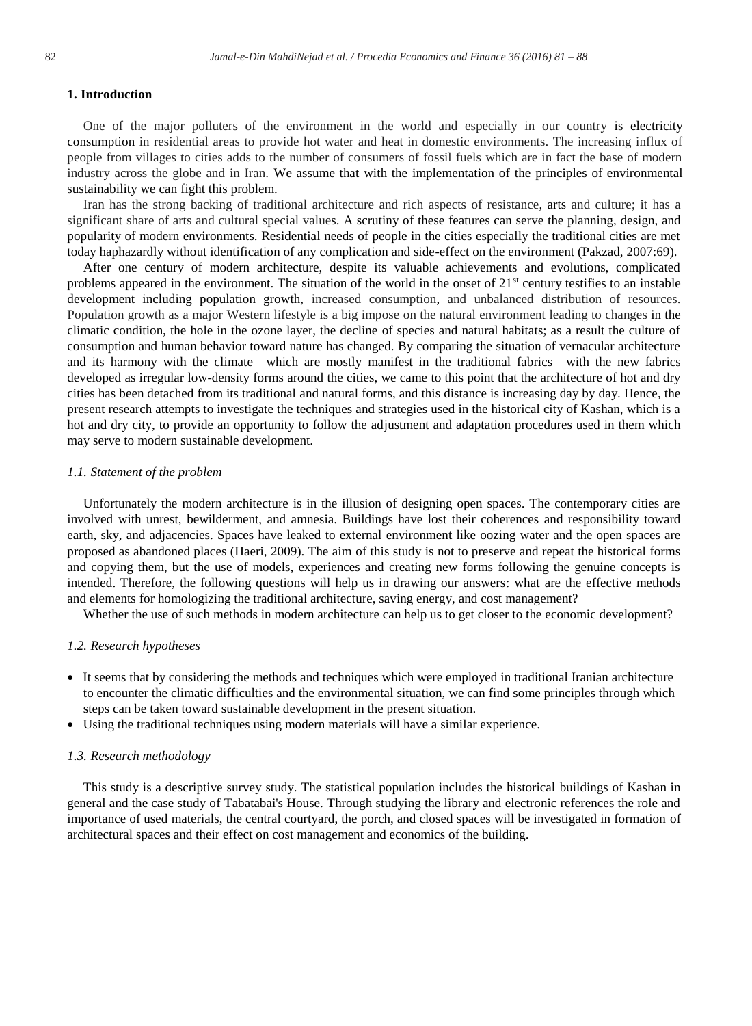## **1. Introduction**

One of the major polluters of the environment in the world and especially in our country is electricity consumption in residential areas to provide hot water and heat in domestic environments. The increasing influx of people from villages to cities adds to the number of consumers of fossil fuels which are in fact the base of modern industry across the globe and in Iran. We assume that with the implementation of the principles of environmental sustainability we can fight this problem.

Iran has the strong backing of traditional architecture and rich aspects of resistance, arts and culture; it has a significant share of arts and cultural special values. A scrutiny of these features can serve the planning, design, and popularity of modern environments. Residential needs of people in the cities especially the traditional cities are met today haphazardly without identification of any complication and side-effect on the environment (Pakzad, 2007:69).

After one century of modern architecture, despite its valuable achievements and evolutions, complicated problems appeared in the environment. The situation of the world in the onset of  $21<sup>st</sup>$  century testifies to an instable development including population growth, increased consumption, and unbalanced distribution of resources. Population growth as a major Western lifestyle is a big impose on the natural environment leading to changes in the climatic condition, the hole in the ozone layer, the decline of species and natural habitats; as a result the culture of consumption and human behavior toward nature has changed. By comparing the situation of vernacular architecture and its harmony with the climate—which are mostly manifest in the traditional fabrics—with the new fabrics developed as irregular low-density forms around the cities, we came to this point that the architecture of hot and dry cities has been detached from its traditional and natural forms, and this distance is increasing day by day. Hence, the present research attempts to investigate the techniques and strategies used in the historical city of Kashan, which is a hot and dry city, to provide an opportunity to follow the adjustment and adaptation procedures used in them which may serve to modern sustainable development.

## *1.1. Statement of the problem*

Unfortunately the modern architecture is in the illusion of designing open spaces. The contemporary cities are involved with unrest, bewilderment, and amnesia. Buildings have lost their coherences and responsibility toward earth, sky, and adjacencies. Spaces have leaked to external environment like oozing water and the open spaces are proposed as abandoned places (Haeri, 2009). The aim of this study is not to preserve and repeat the historical forms and copying them, but the use of models, experiences and creating new forms following the genuine concepts is intended. Therefore, the following questions will help us in drawing our answers: what are the effective methods and elements for homologizing the traditional architecture, saving energy, and cost management?

Whether the use of such methods in modern architecture can help us to get closer to the economic development?

#### *1.2. Research hypotheses*

- It seems that by considering the methods and techniques which were employed in traditional Iranian architecture to encounter the climatic difficulties and the environmental situation, we can find some principles through which steps can be taken toward sustainable development in the present situation.
- Using the traditional techniques using modern materials will have a similar experience.

### *1.3. Research methodology*

This study is a descriptive survey study. The statistical population includes the historical buildings of Kashan in general and the case study of Tabatabai's House. Through studying the library and electronic references the role and importance of used materials, the central courtyard, the porch, and closed spaces will be investigated in formation of architectural spaces and their effect on cost management and economics of the building.